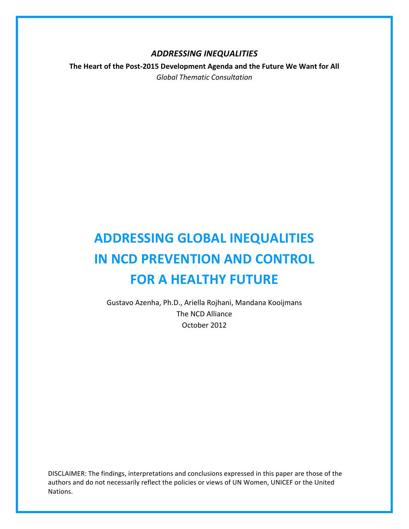*ADDRESSING)INEQUALITIES*

The Heart of the Post-2015 Development Agenda and the Future We Want for All *Global&Thematic&Consultation*

# **ADDRESSING GLOBAL INEQUALITIES IN NCD PREVENTION AND CONTROL FOR A HEALTHY FUTURE**

Gustavo Azenha, Ph.D., Ariella Rojhani, Mandana Kooijmans The NCD Alliance October 2012

DISCLAIMER: The findings, interpretations and conclusions expressed in this paper are those of the authors and do not necessarily reflect the policies or views of UN Women, UNICEF or the United Nations.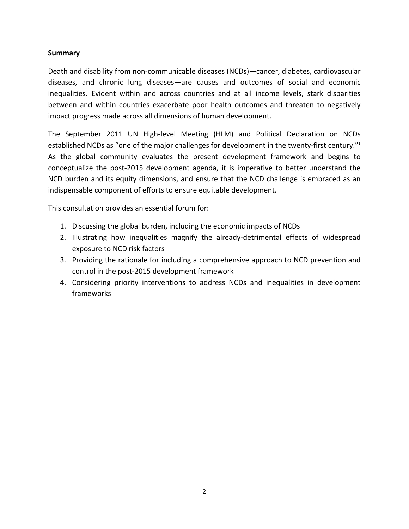## **Summary**

Death and disability from non-communicable diseases (NCDs)—cancer, diabetes, cardiovascular diseases, and chronic lung diseases—are causes and outcomes of social and economic inequalities. Evident within and across countries and at all income levels, stark disparities between and within countries exacerbate poor health outcomes and threaten to negatively impact progress made across all dimensions of human development.

The September 2011 UN High-level Meeting (HLM) and Political Declaration on NCDs established NCDs as "one of the major challenges for development in the twenty-first century."<sup>1</sup> As the global community evaluates the present development framework and begins to conceptualize the post-2015 development agenda, it is imperative to better understand the NCD burden and its equity dimensions, and ensure that the NCD challenge is embraced as an indispensable component of efforts to ensure equitable development.

This consultation provides an essential forum for:

- 1. Discussing the global burden, including the economic impacts of NCDs
- 2. Illustrating how inequalities magnify the already-detrimental effects of widespread exposure to NCD risk factors
- 3. Providing the rationale for including a comprehensive approach to NCD prevention and control in the post-2015 development framework
- 4. Considering priority interventions to address NCDs and inequalities in development frameworks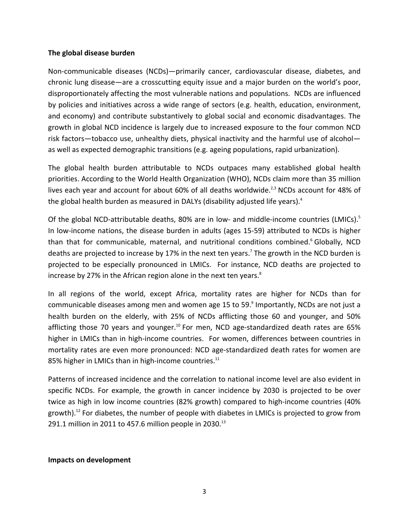#### **The global disease burden**

Non-communicable diseases (NCDs)—primarily cancer, cardiovascular disease, diabetes, and chronic lung disease—are a crosscutting equity issue and a major burden on the world's poor, disproportionately affecting the most vulnerable nations and populations. NCDs are influenced by policies and initiatives across a wide range of sectors (e.g. health, education, environment, and economy) and contribute substantively to global social and economic disadvantages. The growth in global NCD incidence is largely due to increased exposure to the four common NCD risk factors—tobacco use, unhealthy diets, physical inactivity and the harmful use of alcohol as well as expected demographic transitions (e.g. ageing populations, rapid urbanization).

The global health burden attributable to NCDs outpaces many established global health priorities. According to the World Health Organization (WHO), NCDs claim more than 35 million lives each year and account for about 60% of all deaths worldwide.<sup>2,3</sup> NCDs account for 48% of the global health burden as measured in DALYs (disability adjusted life years).<sup>4</sup>

Of the global NCD-attributable deaths, 80% are in low- and middle-income countries (LMICs).<sup>5</sup> In low-income nations, the disease burden in adults (ages 15-59) attributed to NCDs is higher than that for communicable, maternal, and nutritional conditions combined.<sup>6</sup> Globally, NCD deaths are projected to increase by 17% in the next ten years.<sup>7</sup> The growth in the NCD burden is projected to be especially pronounced in LMICs. For instance, NCD deaths are projected to increase by 27% in the African region alone in the next ten years.<sup>8</sup>

In all regions of the world, except Africa, mortality rates are higher for NCDs than for communicable diseases among men and women age 15 to 59.<sup>9</sup> Importantly, NCDs are not just a health burden on the elderly, with 25% of NCDs afflicting those 60 and younger, and 50% afflicting those 70 years and younger.<sup>10</sup> For men, NCD age-standardized death rates are 65% higher in LMICs than in high-income countries. For women, differences between countries in mortality rates are even more pronounced: NCD age-standardized death rates for women are 85% higher in LMICs than in high-income countries.<sup>11</sup>

Patterns of increased incidence and the correlation to national income level are also evident in specific NCDs. For example, the growth in cancer incidence by 2030 is projected to be over twice as high in low income countries (82% growth) compared to high-income countries (40% growth).<sup>12</sup> For diabetes, the number of people with diabetes in LMICs is projected to grow from 291.1 million in 2011 to 457.6 million people in 2030.<sup>13</sup>

## **Impacts on development**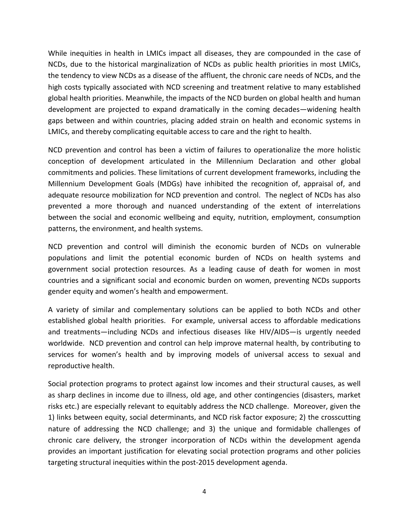While inequities in health in LMICs impact all diseases, they are compounded in the case of NCDs, due to the historical marginalization of NCDs as public health priorities in most LMICs, the tendency to view NCDs as a disease of the affluent, the chronic care needs of NCDs, and the high costs typically associated with NCD screening and treatment relative to many established global health priorities. Meanwhile, the impacts of the NCD burden on global health and human development are projected to expand dramatically in the coming decades—widening health gaps between and within countries, placing added strain on health and economic systems in LMICs, and thereby complicating equitable access to care and the right to health.

NCD prevention and control has been a victim of failures to operationalize the more holistic conception of development articulated in the Millennium Declaration and other global commitments and policies. These limitations of current development frameworks, including the Millennium Development Goals (MDGs) have inhibited the recognition of, appraisal of, and adequate resource mobilization for NCD prevention and control. The neglect of NCDs has also prevented a more thorough and nuanced understanding of the extent of interrelations between the social and economic wellbeing and equity, nutrition, employment, consumption patterns, the environment, and health systems.

NCD prevention and control will diminish the economic burden of NCDs on vulnerable populations and limit the potential economic burden of NCDs on health systems and government social protection resources. As a leading cause of death for women in most countries and a significant social and economic burden on women, preventing NCDs supports gender equity and women's health and empowerment.

A variety of similar and complementary solutions can be applied to both NCDs and other established global health priorities. For example, universal access to affordable medications and treatments—including NCDs and infectious diseases like HIV/AIDS—is urgently needed worldwide. NCD prevention and control can help improve maternal health, by contributing to services for women's health and by improving models of universal access to sexual and reproductive health.

Social protection programs to protect against low incomes and their structural causes, as well as sharp declines in income due to illness, old age, and other contingencies (disasters, market risks etc.) are especially relevant to equitably address the NCD challenge. Moreover, given the 1) links between equity, social determinants, and NCD risk factor exposure; 2) the crosscutting nature of addressing the NCD challenge; and 3) the unique and formidable challenges of chronic care delivery, the stronger incorporation of NCDs within the development agenda provides an important justification for elevating social protection programs and other policies targeting structural inequities within the post-2015 development agenda.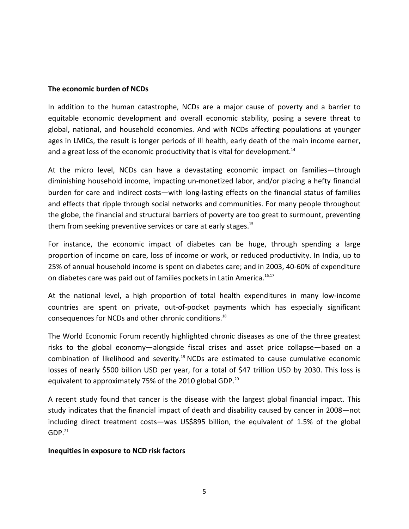#### **The economic burden of NCDs**

In addition to the human catastrophe, NCDs are a major cause of poverty and a barrier to equitable economic development and overall economic stability, posing a severe threat to global, national, and household economies. And with NCDs affecting populations at younger ages in LMICs, the result is longer periods of ill health, early death of the main income earner, and a great loss of the economic productivity that is vital for development.<sup>14</sup>

At the micro level, NCDs can have a devastating economic impact on families—through diminishing household income, impacting un-monetized labor, and/or placing a hefty financial burden for care and indirect costs—with long-lasting effects on the financial status of families and effects that ripple through social networks and communities. For many people throughout the globe, the financial and structural barriers of poverty are too great to surmount, preventing them from seeking preventive services or care at early stages.<sup>15</sup>

For instance, the economic impact of diabetes can be huge, through spending a large proportion of income on care, loss of income or work, or reduced productivity. In India, up to 25% of annual household income is spent on diabetes care; and in 2003, 40-60% of expenditure on diabetes care was paid out of families pockets in Latin America.<sup>16,17</sup>

At the national level, a high proportion of total health expenditures in many low-income countries are spent on private, out-of-pocket payments which has especially significant consequences for NCDs and other chronic conditions.<sup>18</sup>

The World Economic Forum recently highlighted chronic diseases as one of the three greatest risks to the global economy—alongside fiscal crises and asset price collapse—based on a combination of likelihood and severity.<sup>19</sup> NCDs are estimated to cause cumulative economic losses of nearly \$500 billion USD per year, for a total of \$47 trillion USD by 2030. This loss is equivalent to approximately 75% of the 2010 global GDP.<sup>20</sup>

A recent study found that cancer is the disease with the largest global financial impact. This study indicates that the financial impact of death and disability caused by cancer in 2008—not including direct treatment costs—was US\$895 billion, the equivalent of 1.5% of the global  $GDP.<sup>21</sup>$ 

## **Inequities in exposure to NCD risk factors**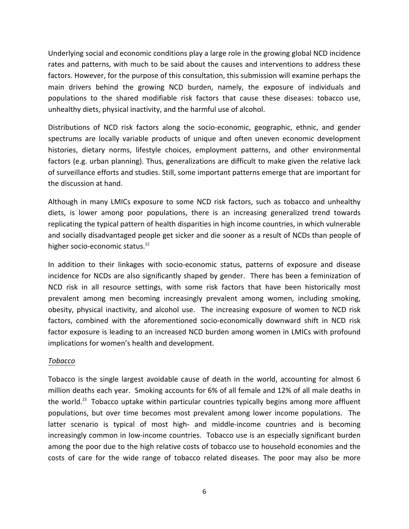Underlying social and economic conditions play a large role in the growing global NCD incidence rates and patterns, with much to be said about the causes and interventions to address these factors. However, for the purpose of this consultation, this submission will examine perhaps the main drivers behind the growing NCD burden, namely, the exposure of individuals and populations to the shared modifiable risk factors that cause these diseases: tobacco use, unhealthy diets, physical inactivity, and the harmful use of alcohol.

Distributions of NCD risk factors along the socio-economic, geographic, ethnic, and gender spectrums are locally variable products of unique and often uneven economic development histories, dietary norms, lifestyle choices, employment patterns, and other environmental factors (e.g. urban planning). Thus, generalizations are difficult to make given the relative lack of surveillance efforts and studies. Still, some important patterns emerge that are important for the discussion at hand.

Although in many LMICs exposure to some NCD risk factors, such as tobacco and unhealthy diets, is lower among poor populations, there is an increasing generalized trend towards replicating the typical pattern of health disparities in high income countries, in which vulnerable and socially disadvantaged people get sicker and die sooner as a result of NCDs than people of higher socio-economic status.<sup>22</sup>

In addition to their linkages with socio-economic status, patterns of exposure and disease incidence for NCDs are also significantly shaped by gender. There has been a feminization of NCD risk in all resource settings, with some risk factors that have been historically most prevalent among men becoming increasingly prevalent among women, including smoking, obesity, physical inactivity, and alcohol use. The increasing exposure of women to NCD risk factors, combined with the aforementioned socio-economically downward shift in NCD risk factor exposure is leading to an increased NCD burden among women in LMICs with profound implications for women's health and development.

## *Tobacco*

Tobacco is the single largest avoidable cause of death in the world, accounting for almost  $6$ million deaths each year. Smoking accounts for 6% of all female and 12% of all male deaths in the world.<sup>23</sup> Tobacco uptake within particular countries typically begins among more affluent populations, but over time becomes most prevalent among lower income populations. The latter scenario is typical of most high- and middle-income countries and is becoming increasingly common in low-income countries. Tobacco use is an especially significant burden among the poor due to the high relative costs of tobacco use to household economies and the costs of care for the wide range of tobacco related diseases. The poor may also be more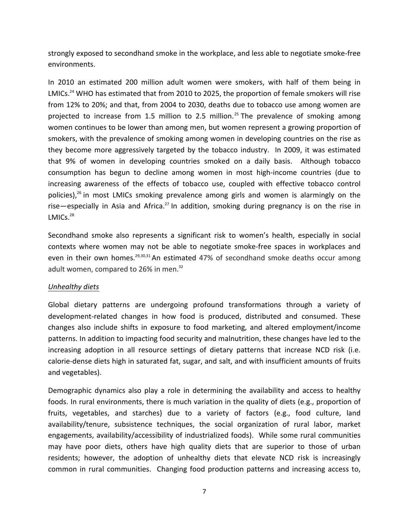strongly exposed to secondhand smoke in the workplace, and less able to negotiate smoke-free environments.

In+ 2010 an estimated 200 million adult women were smokers, with half of them being in LMICs.<sup>24</sup> WHO has estimated that from 2010 to 2025, the proportion of female smokers will rise from 12% to 20%; and that, from 2004 to 2030, deaths due to tobacco use among women are projected to increase from 1.5 million to 2.5 million.<sup>25</sup> The prevalence of smoking among women continues to be lower than among men, but women represent a growing proportion of smokers, with the prevalence of smoking among women in developing countries on the rise as they become more aggressively targeted by the tobacco industry. In 2009, it was estimated that 9% of women in developing countries smoked on a daily basis. Although tobacco consumption has begun to decline among women in most high-income countries (due to increasing awareness of the effects of tobacco use, coupled with effective tobacco control policies),<sup>26</sup> in most LMICs smoking prevalence among girls and women is alarmingly on the rise—especially in Asia and Africa.<sup>27</sup> In addition, smoking during pregnancy is on the rise in LMICs. $28$ 

Secondhand smoke also represents a significant risk to women's health, especially in social contexts where women may not be able to negotiate smoke-free spaces in workplaces and even in their own homes.<sup>29,30,31</sup> An estimated 47% of secondhand smoke deaths occur among adult women, compared to 26% in men.<sup>32</sup>

## *Unhealthy&diets*

Global dietary patterns are undergoing profound transformations through a variety of development-related changes in how food is produced, distributed and consumed. These changes also include shifts in exposure to food marketing, and altered employment/income patterns. In addition to impacting food security and malnutrition, these changes have led to the increasing adoption in all resource settings of dietary patterns that increase NCD risk (i.e. calorie-dense diets high in saturated fat, sugar, and salt, and with insufficient amounts of fruits and vegetables).

Demographic dynamics also play a role in determining the availability and access to healthy foods. In rural environments, there is much variation in the quality of diets (e.g., proportion of fruits, vegetables, and starches) due to a variety of factors (e.g., food culture, land availability/tenure, subsistence techniques, the social organization of rural labor, market engagements, availability/accessibility of industrialized foods). While some rural communities may have poor diets, others have high quality diets that are superior to those of urban residents; however, the adoption of unhealthy diets that elevate NCD risk is increasingly common in rural communities. Changing food production patterns and increasing access to,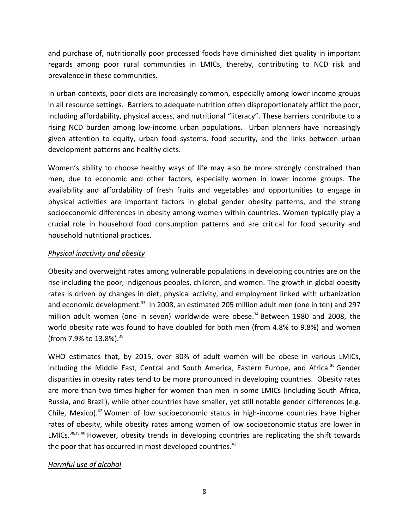and purchase of, nutritionally poor processed foods have diminished diet quality in important regards among poor rural communities in LMICs, thereby, contributing to NCD risk and prevalence in these communities.

In urban contexts, poor diets are increasingly common, especially among lower income groups in all resource settings. Barriers to adequate nutrition often disproportionately afflict the poor, including affordability, physical access, and nutritional "literacy". These barriers contribute to a rising+ NCD burden among low-income urban populations. Urban planners have increasingly given attention to equity, urban food systems, food security, and the links between urban development patterns and healthy diets.

Women's ability to choose healthy ways of life may also be more strongly constrained than men, due to economic and other factors, especially women in lower income groups. The availability and affordability of fresh fruits and vegetables and opportunities to engage in physical activities are important factors in global gender obesity patterns, and the strong socioeconomic differences in obesity among women within countries. Women typically play a crucial role in household food consumption patterns and are critical for food security and household nutritional practices.

## **Physical inactivity and obesity**

Obesity and overweight rates among vulnerable populations in developing countries are on the rise including the poor, indigenous peoples, children, and women. The growth in global obesity rates is driven by changes in diet, physical activity, and employment linked with urbanization and economic development.<sup>33</sup> In 2008, an estimated 205 million adult men (one in ten) and 297 million adult women (one in seven) worldwide were obese.<sup>34</sup> Between 1980 and 2008, the world obesity rate was found to have doubled for both men (from 4.8% to 9.8%) and women (from 7.9% to 13.8%).<sup>35</sup>

WHO estimates that, by 2015, over 30% of adult women will be obese in various LMICs, including the Middle East, Central and South America, Eastern Europe, and Africa.<sup>36</sup> Gender disparities in obesity rates tend to be more pronounced in developing countries. Obesity rates are more than two times higher for women than men in some LMICs (including South Africa, Russia, and Brazil), while other countries have smaller, yet still notable gender differences (e.g. Chile, Mexico).<sup>37</sup> Women of low socioeconomic status in high-income countries have higher rates of obesity, while obesity rates among women of low socioeconomic status are lower in LMICs.<sup>38,39,40</sup> However, obesity trends in developing countries are replicating the shift towards the poor that has occurred in most developed countries.<sup>41</sup>

## *Harmful use of alcohol*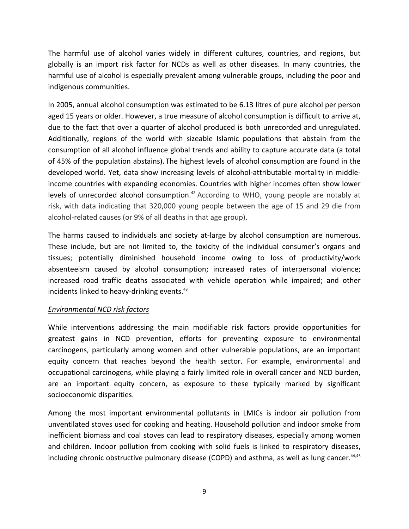The harmful use of alcohol varies widely in different cultures, countries, and regions, but globally is an import risk factor for NCDs as well as other diseases. In many countries, the harmful use of alcohol is especially prevalent among vulnerable groups, including the poor and indigenous communities.

In+2005, annual alcohol consumption was estimated to be 6.13 litres of pure alcohol per person aged 15 years or older. However, a true measure of alcohol consumption is difficult to arrive at, due to the fact that over a quarter of alcohol produced is both unrecorded and unregulated. Additionally, regions of the world with sizeable Islamic populations that abstain from the consumption of all alcohol influence global trends and ability to capture accurate data (a total of 45% of the population abstains). The highest levels of alcohol consumption are found in the developed world. Yet, data show increasing levels of alcohol-attributable mortality in middleincome countries with expanding economies. Countries with higher incomes often show lower levels of unrecorded alcohol consumption.<sup>42</sup> According to WHO, young people are notably at risk, with data indicating that 320,000 young people between the age of 15 and 29 die from alcohol-related causes (or 9% of all deaths in that age group).

The harms caused to individuals and society at-large by alcohol consumption are numerous. These include, but are not limited to, the toxicity of the individual consumer's organs and tissues; potentially diminished household income owing to loss of productivity/work absenteeism caused by alcohol consumption; increased rates of interpersonal violence; increased road traffic deaths associated with vehicle operation while impaired; and other incidents linked to heavy-drinking events.<sup>43</sup>

## Environmental NCD risk factors

While interventions addressing the main modifiable risk factors provide opportunities for greatest gains in NCD prevention, efforts for preventing exposure to environmental carcinogens, particularly among women and other vulnerable populations, are an important equity concern that reaches beyond the health sector. For example, environmental and occupational carcinogens, while playing a fairly limited role in overall cancer and NCD burden, are an important equity concern, as exposure to these typically marked by significant socioeconomic disparities.

Among the most important environmental pollutants in LMICs is indoor air pollution from unventilated stoves used for cooking and heating. Household pollution and indoor smoke from inefficient biomass and coal stoves can lead to respiratory diseases, especially among women and children. Indoor pollution from cooking with solid fuels is linked to respiratory diseases, including chronic obstructive pulmonary disease (COPD) and asthma, as well as lung cancer.<sup>44,45</sup>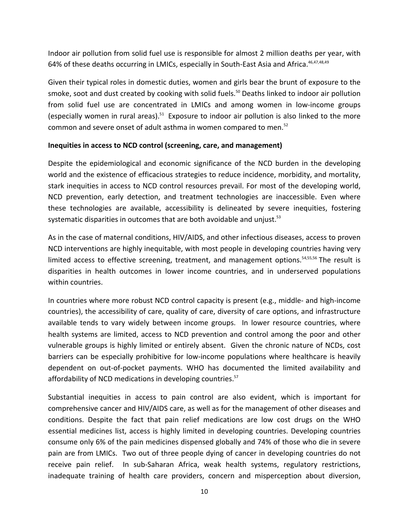Indoor air pollution from solid fuel use is responsible for almost 2 million deaths per year, with 64% of these deaths occurring in LMICs, especially in South-East Asia and Africa.<sup>46,47,48,49</sup>

Given their typical roles in domestic duties, women and girls bear the brunt of exposure to the smoke, soot and dust created by cooking with solid fuels.<sup>50</sup> Deaths linked to indoor air pollution from solid fuel use are concentrated in LMICs and among women in low-income groups (especially women in rural areas). $51$  Exposure to indoor air pollution is also linked to the more common and severe onset of adult asthma in women compared to men.<sup>52</sup>

## **Inequities in access to NCD control (screening, care, and management)**

Despite the epidemiological and economic significance of the NCD burden in the developing world and the existence of efficacious strategies to reduce incidence, morbidity, and mortality, stark inequities in access to NCD control resources prevail. For most of the developing world, NCD prevention, early detection, and treatment technologies are inaccessible. Even where these technologies are available, accessibility is delineated by severe inequities, fostering systematic disparities in outcomes that are both avoidable and unjust.<sup>53</sup>

As in the case of maternal conditions, HIV/AIDS, and other infectious diseases, access to proven NCD interventions are highly inequitable, with most people in developing countries having very limited access to effective screening, treatment, and management options. $54,55,56$  The result is disparities in health outcomes in lower income countries, and in underserved populations within countries.

In countries where more robust NCD control capacity is present (e.g., middle- and high-income countries), the accessibility of care, quality of care, diversity of care options, and infrastructure available tends to vary widely between income groups. In lower resource countries, where health systems are limited, access to NCD prevention and control among the poor and other vulnerable groups is highly limited or entirely absent. Given the chronic nature of NCDs, cost barriers can be especially prohibitive for low-income populations where healthcare is heavily dependent on out-of-pocket payments. WHO has documented the limited availability and affordability of NCD medications in developing countries.<sup>57</sup>

Substantial inequities in access to pain control are also evident, which is important for comprehensive cancer and HIV/AIDS care, as well as for the management of other diseases and conditions. Despite the fact that pain relief medications are low cost drugs on the WHO essential medicines list, access is highly limited in developing countries. Developing countries consume only 6% of the pain medicines dispensed globally and 74% of those who die in severe pain are from LMICs. Two out of three people dying of cancer in developing countries do not receive pain relief. In sub-Saharan Africa, weak health systems, regulatory restrictions, inadequate training of health care providers, concern and misperception about diversion,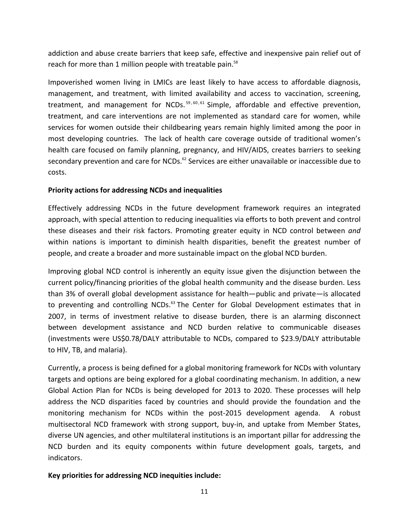addiction and abuse create barriers that keep safe, effective and inexpensive pain relief out of reach for more than 1 million people with treatable pain. $58$ 

Impoverished women living in LMICs are least likely to have access to affordable diagnosis, management, and treatment, with limited availability and access to vaccination, screening, treatment, and management for NCDs.  $59, 60, 61$  Simple, affordable and effective prevention, treatment, and care interventions are not implemented as standard care for women, while services for women outside their childbearing years remain highly limited among the poor in most developing countries. The lack of health care coverage outside of traditional women's health care focused on family planning, pregnancy, and HIV/AIDS, creates barriers to seeking secondary prevention and care for NCDs.<sup>62</sup> Services are either unavailable or inaccessible due to costs.

## **Priority actions for addressing NCDs and inequalities**

Effectively addressing NCDs in the future development framework requires an integrated approach, with special attention to reducing inequalities via efforts to both prevent and control these diseases and their risk factors. Promoting greater equity in NCD control between and within nations is important to diminish health disparities, benefit the greatest number of people, and create a broader and more sustainable impact on the global NCD burden.

Improving global NCD control is inherently an equity issue given the disjunction between the current policy/financing priorities of the global health community and the disease burden. Less than 3% of overall global development assistance for health—public and private—is allocated to preventing and controlling NCDs.<sup>63</sup> The Center for Global Development estimates that in 2007, in terms of investment relative to disease burden, there is an alarming disconnect between development assistance and NCD burden relative to communicable diseases (investments were US\$0.78/DALY attributable to NCDs, compared to \$23.9/DALY attributable to HIV, TB, and malaria).

Currently, a process is being defined for a global monitoring framework for NCDs with voluntary targets and options are being explored for a global coordinating mechanism. In addition, a new Global Action Plan for NCDs is being developed for 2013 to 2020. These processes will help address the NCD disparities faced by countries and should provide the foundation and the monitoring mechanism for NCDs within the post-2015 development agenda. A robust multisectoral NCD framework with strong support, buy-in, and uptake from Member States, diverse UN agencies, and other multilateral institutions is an important pillar for addressing the NCD burden and its equity components within future development goals, targets, and indicators.

## Key priorities for addressing NCD inequities include: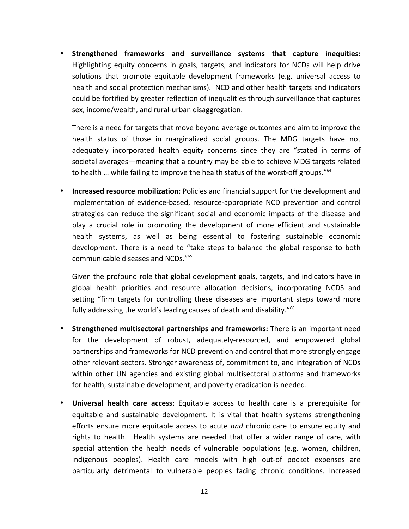• Strengthened frameworks and surveillance systems that capture inequities: Highlighting equity concerns in goals, targets, and indicators for NCDs will help drive solutions that promote equitable development frameworks (e.g. universal access to health and social protection mechanisms). NCD and other health targets and indicators could be fortified by greater reflection of inequalities through surveillance that captures sex, income/wealth, and rural-urban disaggregation.

There is a need for targets that move beyond average outcomes and aim to improve the health status of those in marginalized social groups. The MDG targets have not adequately incorporated health equity concerns since they are "stated in terms of societal averages—meaning that a country may be able to achieve MDG targets related to health ... while failing to improve the health status of the worst-off groups." $64$ 

• **Increased resource mobilization:** Policies and financial support for the development and implementation of evidence-based, resource-appropriate NCD prevention and control strategies can reduce the significant social and economic impacts of the disease and play a crucial role in promoting the development of more efficient and sustainable health systems, as well as being essential to fostering sustainable economic development. There is a need to "take steps to balance the global response to both communicable diseases and NCDs."<sup>65</sup>

Given the profound role that global development goals, targets, and indicators have in global health priorities and resource allocation decisions, incorporating NCDS and setting "firm targets for controlling these diseases are important steps toward more fully addressing the world's leading causes of death and disability." $66$ 

- Strengthened multisectoral partnerships and frameworks: There is an important need for the development of robust, adequately-resourced, and empowered global partnerships and frameworks for NCD prevention and control that more strongly engage other relevant sectors. Stronger awareness of, commitment to, and integration of NCDs within other UN agencies and existing global multisectoral platforms and frameworks for health, sustainable development, and poverty eradication is needed.
- **Universal health care access:** Equitable access to health care is a prerequisite for equitable and sustainable development. It is vital that health systems strengthening efforts ensure more equitable access to acute *and* chronic care to ensure equity and rights to health. Health systems are needed that offer a wider range of care, with special attention the health needs of vulnerable populations (e.g. women, children, indigenous peoples). Health care models with high out-of pocket expenses are particularly detrimental to vulnerable peoples facing chronic conditions. Increased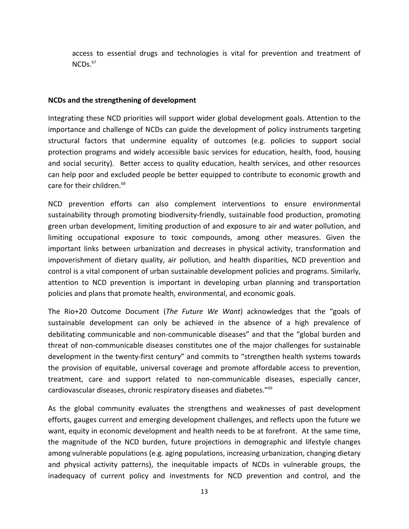access to essential drugs and technologies is vital for prevention and treatment of  $NCDs.$   $67$ 

#### **NCDs and the strengthening of development**

Integrating these NCD priorities will support wider global development goals. Attention to the importance and challenge of NCDs can guide the development of policy instruments targeting structural factors that undermine equality of outcomes (e.g. policies to support social protection programs and widely accessible basic services for education, health, food, housing and social security). Better access to quality education, health services, and other resources can help poor and excluded people be better equipped to contribute to economic growth and care for their children.<sup>68</sup>

NCD prevention efforts can also complement interventions to ensure environmental sustainability through promoting biodiversity-friendly, sustainable food production, promoting green urban development, limiting production of and exposure to air and water pollution, and limiting occupational exposure to toxic compounds, among other measures. Given the important links between urbanization and decreases in physical activity, transformation and impoverishment of dietary quality, air pollution, and health disparities, NCD prevention and control is a vital component of urban sustainable development policies and programs. Similarly, attention to NCD prevention is important in developing urban planning and transportation policies and plans that promote health, environmental, and economic goals.

The Rio+20 Outcome Document (*The Future We Want*) acknowledges that the "goals of sustainable development can only be achieved in the absence of a high prevalence of debilitating communicable and non-communicable diseases" and that the "global burden and threat of non-communicable diseases constitutes one of the major challenges for sustainable development in the twenty-first century" and commits to "strengthen health systems towards the provision of equitable, universal coverage and promote affordable access to prevention, treatment, care and support related to non-communicable diseases, especially cancer, cardiovascular diseases, chronic respiratory diseases and diabetes."<sup>69</sup>

As the global community evaluates the strengthens and weaknesses of past development efforts, gauges current and emerging development challenges, and reflects upon the future we want, equity in economic development and health needs to be at forefront. At the same time, the magnitude of the NCD burden, future projections in demographic and lifestyle changes among vulnerable populations (e.g. aging populations, increasing urbanization, changing dietary and physical activity patterns), the inequitable impacts of NCDs in vulnerable groups, the inadequacy of current policy and investments for NCD prevention and control, and the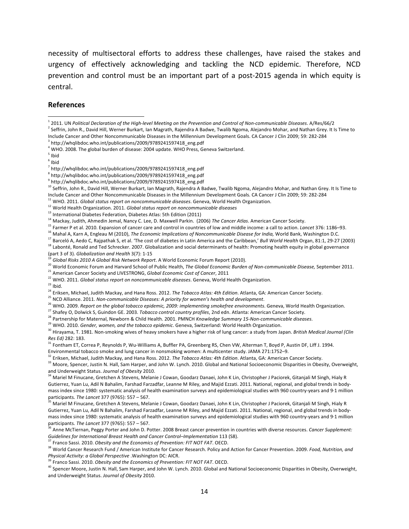necessity of multisectoral efforts to address these challenges, have raised the stakes and urgency of effectively acknowledging and tackling the NCD epidemic. Therefore, NCD prevention and control must be an important part of a post-2015 agenda in which equity is central.

#### **References**

<sup>2</sup> Seffrin, John R., David Hill, Werner Burkart, Ian Magrath, Rajendra A Badwe, Twalib Ngoma, Alejandro Mohar, and Nathan Grey. It Is Time to

 $<sup>5</sup>$  Ibid</sup>

++++++++++++++++++++++++++++++++++++++++++++++++++++++++++++

<sup>10</sup> Seffrin, John R., David Hill, Werner Burkart, Ian Magrath, Rajendra A Badwe, Twalib Ngoma, Alejandro Mohar, and Nathan Grey. It Is Time to Include Cancer and Other Noncommunicable Diseases in the Millennium Development Goals. CA Cancer J Clin 2009; 59: 282-284

<sup>11</sup> WHO. 2011. *Global status report on noncommunicable diseases*. Geneva, World Health Organization.

12 World Health Organization. 2011. *Global status report on noncommunicable diseases* 

<sup>13</sup> International Diabetes Federation, Diabetes Atlas: 5th Edition (2011)

<sup>15</sup> Farmer P et al. 2010. Expansion of cancer care and control in countries of low and middle income: a call to action. *Lancet* 376: 1186–93.

<sup>16</sup> Mahal A, Karn A, Engleau M (2010), *The Economic Implications of Noncommunicable Disease for India, World Bank, Washington D.C.* 

<sup>17</sup> Barceló A, Aedo C, Rajpathak S, et al. 'The cost of diabetes in Latin America and the Caribbean,' *Bull World Health* Organ, 81:1, 29-27 (2003)

<sup>18</sup> Labonté, Ronald and Ted Schrecker. 2007. Globalization and social determinants of health: Promoting health equity in global governance (part 3 of 3). *Globalization and Health* 3(7): 1-15

<sup>19</sup> *Global&Risks&2010&A&Global&Risk&Network&Report*.+A+World+Economic+Forum+Report+(2010).

- <sup>20</sup> World Economic Forum and Harvard School of Public Health, *The Global Economic Burden of Non-communicable Disease,* September 2011.
- <sup>21</sup> American Cancer Society and LIVESTRONG, *Global Economic Cost of Cancer*, 2011
- <sup>22</sup> WHO. 2011. Global status report on noncommunicable diseases. Geneva, World Health Organization.
- $23$  Ibid.
- <sup>24</sup> Eriksen, Michael, Judith Mackay, and Hana Ross. 2012. *The Tobacco Atlas: 4th Edition*. Atlanta, GA: American Cancer Society.

<sup>25</sup> NCD Alliance. 2011. Non-communicable Diseases: A priority for women's health and development.

- <sup>26</sup> WHO. 2009. *Report on the global tobacco epidemic, 2009: implementing smokefree environments*. Geneva, World Health Organization.
- <sup>27</sup> Shafey O, Dolwick S, Guindon GE. 2003. *Tobacco control country profiles*, 2nd edn. Atlanta: American Cancer Society.

<sup>28</sup> Partnership for Maternal, Newborn & Child Health. 2001. PMNCH *Knowledge Summary 15-Non-communicable diseases*.

<sup>29</sup> WHO. 2010. *Gender, women, and the tobacco epidemic*. Geneva, Switzerland: World Health Organization.

<sup>30</sup> Hirayama, T. 1981. Non-smoking wives of heavy smokers have a higher risk of lung cancer: a study from Japan. *British Medical Journal (Clin Res&Ed)* 282: 183.

<sup>31</sup> Fontham ET, Correa P, Reynolds P, Wu-Williams A, Buffler PA, Greenberg RS, Chen VW, Alterman T, Boyd P, Austin DF, Liff J. 1994.

Environmental tobacco smoke and lung cancer in nonsmoking women: A multicenter study. JAMA 271:1752–9.

<sup>32</sup> Eriksen, Michael, Judith Mackay, and Hana Ross. 2012. The Tobacco Atlas: 4th Edition. Atlanta, GA: American Cancer Society.

33 Moore, Spencer, Justin N. Hall, Sam Harper, and John W. Lynch. 2010. Global and National Socioeconomic Disparities in Obesity, Overweight, and Underweight Status. Journal of Obesity 2010.

<sup>34</sup> Mariel M Finucane, Gretchen A Stevens, Melanie J Cowan, Goodarz Danaei, John K Lin, Christopher J Paciorek, Gitanjali M Singh, Hialy R Gutierrez, Yuan Lu, Adil N Bahalim, Farshad Farzadfar, Leanne M Riley, and Majid Ezzati. 2011. National, regional, and global trends in bodymass index since 1980: systematic analysis of health examination surveys and epidemiological studies with 960 country-years and 9-1 million participants. The Lancet 377 (9765): 557 - 567.

<sup>35</sup> Mariel M Finucane, Gretchen A Stevens, Melanie J Cowan, Goodarz Danaei, John K Lin, Christopher J Paciorek, Gitanjali M Singh, Hialy R Gutierrez, Yuan Lu, Adil N Bahalim, Farshad Farzadfar, Leanne M Riley, and Majid Ezzati. 2011. National, regional, and global trends in bodymass index since 1980: systematic analysis of health examination surveys and epidemiological studies with 960 country-years and 9-1 million participants. The Lancet 377 (9765): 557 - 567.

<sup>36</sup> Anne McTiernan, Peggy Porter and John D. Potter. 2008 Breast cancer prevention in countries with diverse resources. Cancer Supplement: Guidelines for International Breast Health and Cancer Control-Implementation 113 (S8).

<sup>37</sup> Franco Sassi. 2010. Obesity and the Economics of Prevention: FIT NOT FAT. OECD.

<sup>38</sup> World Cancer Research Fund / American Institute for Cancer Research. Policy and Action for Cancer Prevention. 2009. Food, Nutrition, and Physical Activity: a Global Perspective .Washington DC: AICR.

<sup>39</sup> Franco Sassi. 2010. *Obesity and the Economics of Prevention: FIT NOT FAT.* OECD.

<sup>40</sup> Spencer Moore, Justin N. Hall, Sam Harper, and John W. Lynch. 2010. Global and National Socioeconomic Disparities in Obesity, Overweight, and Underweight Status. Journal of Obesity 2010.

 $^1$  2011. UN Political Declaration of the High-level Meeting on the Prevention and Control of Non-communicable Diseases. A/Res/66/2

Include Cancer and Other Noncommunicable Diseases in the Millennium Development Goals. CA Cancer J Clin 2009; 59: 282-284

<sup>3</sup> http://whqlibdoc.who.int/publications/2009/9789241597418\_eng.pdf

 $^4$  WHO. 2008. The global burden of disease: 2004 update. WHO Press, Geneva Switzerland.

 $6$  Ibid

 $^7$  http://whqlibdoc.who.int/publications/2009/9789241597418\_eng.pdf

 $8$  http://whqlibdoc.who.int/publications/2009/9789241597418\_eng.pdf

<sup>9</sup> http://whqlibdoc.who.int/publications/2009/9789241597418\_eng.pdf

<sup>&</sup>lt;sup>14</sup> Mackay, Judith, Ahmedin Jemal, Nancy C. Lee, D. Maxwell Parkin. (2006) The Cancer Atlas. American Cancer Society.